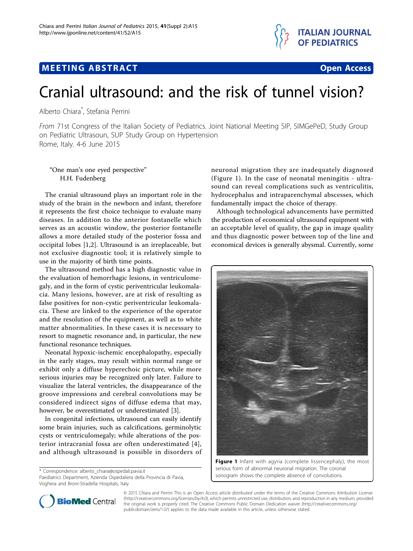

# M E ETING AB S TRACT OPEN AB S TRACT OPEN A SERIES AND THE SERIES AND THE SERIES AND THE SERIES AND THE SERIES



## Cranial ultrasound: and the risk of tunnel vision?

Alberto Chiara\* , Stefania Perrini

From 71st Congress of the Italian Society of Pediatrics. Joint National Meeting SIP, SIMGePeD, Study Group on Pediatric Ultrasoun, SUP Study Group on Hypertension Rome, Italy. 4-6 June 2015

"One man's one eyed perspective" H.H. Fudenberg

The cranial ultrasound plays an important role in the study of the brain in the newborn and infant, therefore it represents the first choice technique to evaluate many diseases. In addition to the anterior fontanelle which serves as an acoustic window, the posterior fontanelle allows a more detailed study of the posterior fossa and occipital lobes [\[1](#page-1-0),[2\]](#page-1-0). Ultrasound is an irreplaceable, but not exclusive diagnostic tool; it is relatively simple to use in the majority of birth time points.

The ultrasound method has a high diagnostic value in the evaluation of hemorrhagic lesions, in ventriculomegaly, and in the form of cystic periventricular leukomalacia. Many lesions, however, are at risk of resulting as false positives for non-cystic periventricular leukomalacia. These are linked to the experience of the operator and the resolution of the equipment, as well as to white matter abnormalities. In these cases it is necessary to resort to magnetic resonance and, in particular, the new functional resonance techniques.

Neonatal hypoxic-ischemic encephalopathy, especially in the early stages, may result within normal range or exhibit only a diffuse hyperechoic picture, while more serious injuries may be recognized only later. Failure to visualize the lateral ventricles, the disappearance of the groove impressions and cerebral convolutions may be considered indirect signs of diffuse edema that may, however, be overestimated or underestimated [\[3\]](#page-1-0).

In congenital infections, ultrasound can easily identify some brain injuries, such as calcifications, germinolytic cysts or ventriculomegaly; while alterations of the posterior intracranial fossa are often underestimated [[4](#page-1-0)], and although ultrasound is possible in disorders of

\* Correspondence: [alberto\\_chiara@ospedali.pavia.it](mailto:alberto_chiara@ospedali.pavia.it)

Paediatrics Department, Azienda Ospedaliera della Provincia di Pavia, Voghera and Broni-Stradella Hospitals, Italy

neuronal migration they are inadequately diagnosed (Figure 1). In the case of neonatal meningitis - ultrasound can reveal complications such as ventriculitis, hydrocephalus and intraparenchymal abscesses, which fundamentally impact the choice of therapy.

Although technological advancements have permitted the production of economical ultrasound equipment with an acceptable level of quality, the gap in image quality and thus diagnostic power between top of the line and economical devices is generally abysmal. Currently, some



Figure 1 Infant with agyria (complete lissencephaly), the most serious form of abnormal neuronal migration. The coronal sonogram shows the complete absence of convolutions.



© 2015 Chiara and Perrini This is an Open Access article distributed under the terms of the Creative Commons Attribution License [\(http://creativecommons.org/licenses/by/4.0](http://creativecommons.org/licenses/by/4.0)), which permits unrestricted use, distribution, and reproduction in any medium, provided the original work is properly cited. The Creative Commons Public Domain Dedication waiver ([http://creativecommons.org/](http://creativecommons.org/publicdomain/zero/1.0/) [publicdomain/zero/1.0/](http://creativecommons.org/publicdomain/zero/1.0/)) applies to the data made available in this article, unless otherwise stated